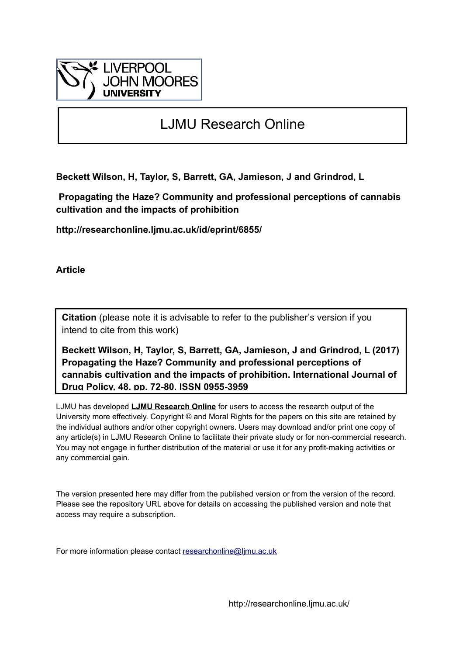

# LJMU Research Online

**Beckett Wilson, H, Taylor, S, Barrett, GA, Jamieson, J and Grindrod, L**

 **Propagating the Haze? Community and professional perceptions of cannabis cultivation and the impacts of prohibition**

**http://researchonline.ljmu.ac.uk/id/eprint/6855/**

**Article**

**Citation** (please note it is advisable to refer to the publisher's version if you intend to cite from this work)

**Beckett Wilson, H, Taylor, S, Barrett, GA, Jamieson, J and Grindrod, L (2017) Propagating the Haze? Community and professional perceptions of cannabis cultivation and the impacts of prohibition. International Journal of Drug Policy, 48. pp. 72-80. ISSN 0955-3959** 

LJMU has developed **[LJMU Research Online](http://researchonline.ljmu.ac.uk/)** for users to access the research output of the University more effectively. Copyright © and Moral Rights for the papers on this site are retained by the individual authors and/or other copyright owners. Users may download and/or print one copy of any article(s) in LJMU Research Online to facilitate their private study or for non-commercial research. You may not engage in further distribution of the material or use it for any profit-making activities or any commercial gain.

The version presented here may differ from the published version or from the version of the record. Please see the repository URL above for details on accessing the published version and note that access may require a subscription.

For more information please contact [researchonline@ljmu.ac.uk](mailto:researchonline@ljmu.ac.uk)

http://researchonline.ljmu.ac.uk/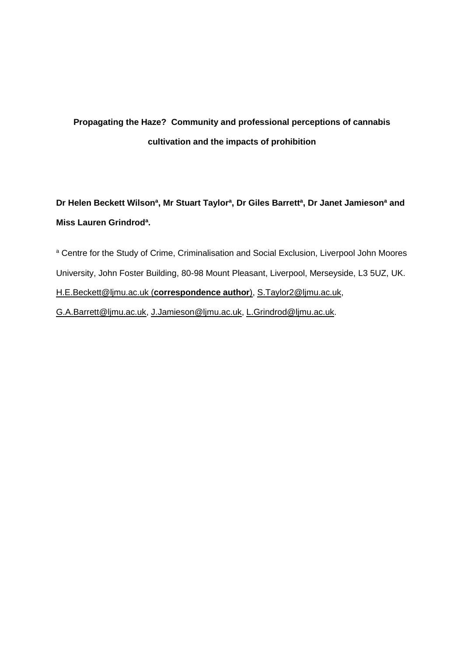# **Propagating the Haze? Community and professional perceptions of cannabis cultivation and the impacts of prohibition**

**Dr Helen Beckett Wilson<sup>a</sup> , Mr Stuart Taylor<sup>a</sup> , Dr Giles Barrett<sup>a</sup> , Dr Janet Jamieson<sup>a</sup> and Miss Lauren Grindrod<sup>a</sup> .** 

<sup>a</sup> Centre for the Study of Crime, Criminalisation and Social Exclusion, Liverpool John Moores University, John Foster Building, 80-98 Mount Pleasant, Liverpool, Merseyside, L3 5UZ, UK. [H.E.Beckett@ljmu.ac.uk](mailto:H.E.Beckett@ljmu.ac.uk) (**correspondence author**), [S.Taylor2@ljmu.ac.uk,](mailto:S.Taylor2@ljmu.ac.uk) [G.A.Barrett@ljmu.ac.uk,](mailto:G.A.Barrett@ljmu.ac.uk) [J.Jamieson@ljmu.ac.uk,](mailto:J.Jamieson@ljmu.ac.uk) [L.Grindrod@ljmu.ac.uk.](mailto:L.Grindrod@ljmu.ac.uk)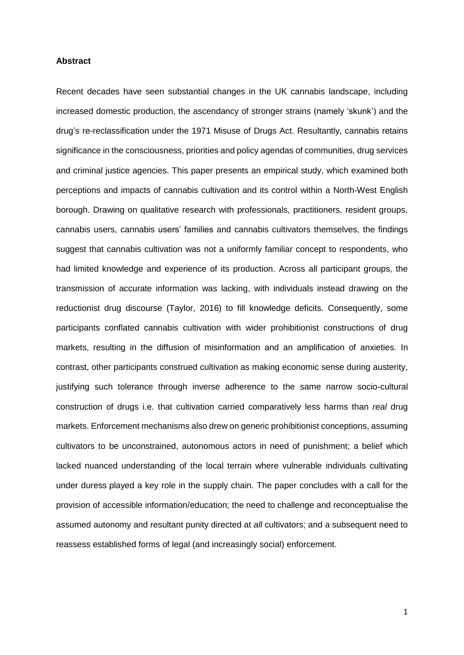#### **Abstract**

Recent decades have seen substantial changes in the UK cannabis landscape, including increased domestic production, the ascendancy of stronger strains (namely 'skunk') and the drug's re-reclassification under the 1971 Misuse of Drugs Act. Resultantly, cannabis retains significance in the consciousness, priorities and policy agendas of communities, drug services and criminal justice agencies. This paper presents an empirical study, which examined both perceptions and impacts of cannabis cultivation and its control within a North-West English borough. Drawing on qualitative research with professionals, practitioners, resident groups, cannabis users, cannabis users' families and cannabis cultivators themselves, the findings suggest that cannabis cultivation was not a uniformly familiar concept to respondents, who had limited knowledge and experience of its production. Across all participant groups, the transmission of accurate information was lacking, with individuals instead drawing on the reductionist drug discourse (Taylor, 2016) to fill knowledge deficits. Consequently, some participants conflated cannabis cultivation with wider prohibitionist constructions of drug markets, resulting in the diffusion of misinformation and an amplification of anxieties. In contrast, other participants construed cultivation as making economic sense during austerity, justifying such tolerance through inverse adherence to the same narrow socio-cultural construction of drugs i.e. that cultivation carried comparatively less harms than *real* drug markets. Enforcement mechanisms also drew on generic prohibitionist conceptions, assuming cultivators to be unconstrained, autonomous actors in need of punishment; a belief which lacked nuanced understanding of the local terrain where vulnerable individuals cultivating under duress played a key role in the supply chain. The paper concludes with a call for the provision of accessible information/education; the need to challenge and reconceptualise the assumed autonomy and resultant punity directed at *all* cultivators; and a subsequent need to reassess established forms of legal (and increasingly social) enforcement.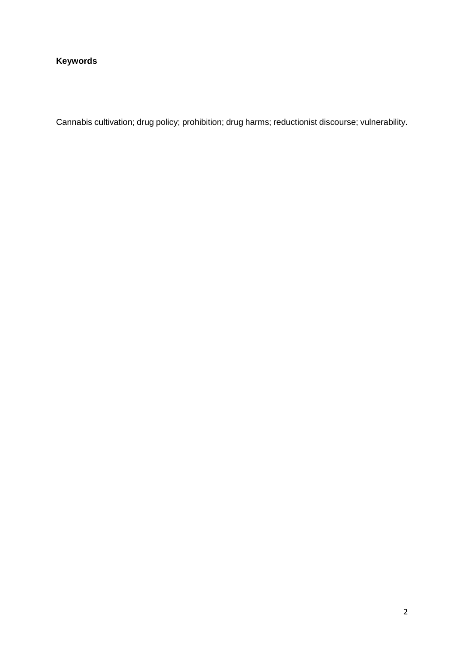### **Keywords**

Cannabis cultivation; drug policy; prohibition; drug harms; reductionist discourse; vulnerability.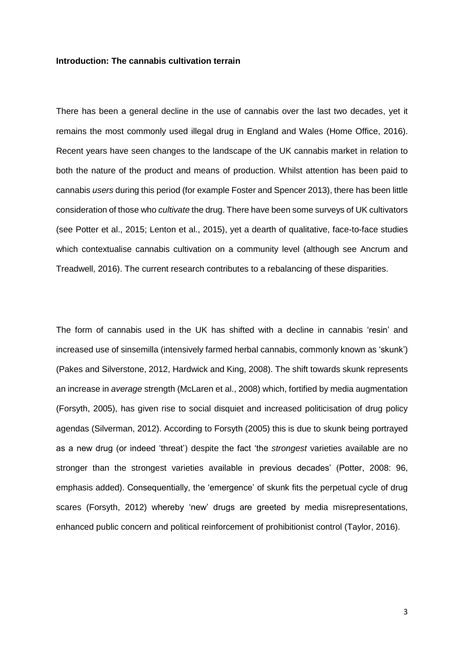#### **Introduction: The cannabis cultivation terrain**

There has been a general decline in the use of cannabis over the last two decades, yet it remains the most commonly used illegal drug in England and Wales (Home Office, 2016). Recent years have seen changes to the landscape of the UK cannabis market in relation to both the nature of the product and means of production. Whilst attention has been paid to cannabis *users* during this period (for example Foster and Spencer 2013), there has been little consideration of those who *cultivate* the drug. There have been some surveys of UK cultivators (see Potter et al., 2015; Lenton et al., 2015), yet a dearth of qualitative, face-to-face studies which contextualise cannabis cultivation on a community level (although see Ancrum and Treadwell, 2016). The current research contributes to a rebalancing of these disparities.

The form of cannabis used in the UK has shifted with a decline in cannabis 'resin' and increased use of sinsemilla (intensively farmed herbal cannabis, commonly known as 'skunk') (Pakes and Silverstone, 2012, Hardwick and King, 2008). The shift towards skunk represents an increase in *average* strength (McLaren et al., 2008) which, fortified by media augmentation (Forsyth, 2005), has given rise to social disquiet and increased politicisation of drug policy agendas (Silverman, 2012). According to Forsyth (2005) this is due to skunk being portrayed as a new drug (or indeed 'threat') despite the fact 'the *strongest* varieties available are no stronger than the strongest varieties available in previous decades' (Potter, 2008: 96, emphasis added). Consequentially, the 'emergence' of skunk fits the perpetual cycle of drug scares (Forsyth, 2012) whereby 'new' drugs are greeted by media misrepresentations, enhanced public concern and political reinforcement of prohibitionist control (Taylor, 2016).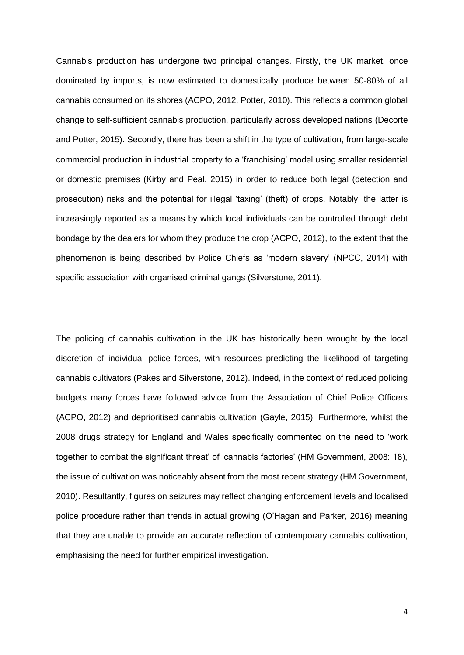Cannabis production has undergone two principal changes. Firstly, the UK market, once dominated by imports, is now estimated to domestically produce between 50-80% of all cannabis consumed on its shores (ACPO, 2012, Potter, 2010). This reflects a common global change to self-sufficient cannabis production, particularly across developed nations (Decorte and Potter, 2015). Secondly, there has been a shift in the type of cultivation, from large-scale commercial production in industrial property to a 'franchising' model using smaller residential or domestic premises (Kirby and Peal, 2015) in order to reduce both legal (detection and prosecution) risks and the potential for illegal 'taxing' (theft) of crops. Notably, the latter is increasingly reported as a means by which local individuals can be controlled through debt bondage by the dealers for whom they produce the crop (ACPO, 2012), to the extent that the phenomenon is being described by Police Chiefs as 'modern slavery' (NPCC, 2014) with specific association with organised criminal gangs (Silverstone, 2011).

The policing of cannabis cultivation in the UK has historically been wrought by the local discretion of individual police forces, with resources predicting the likelihood of targeting cannabis cultivators (Pakes and Silverstone, 2012). Indeed, in the context of reduced policing budgets many forces have followed advice from the Association of Chief Police Officers (ACPO, 2012) and deprioritised cannabis cultivation (Gayle, 2015). Furthermore, whilst the 2008 drugs strategy for England and Wales specifically commented on the need to 'work together to combat the significant threat' of 'cannabis factories' (HM Government, 2008: 18), the issue of cultivation was noticeably absent from the most recent strategy (HM Government, 2010). Resultantly, figures on seizures may reflect changing enforcement levels and localised police procedure rather than trends in actual growing (O'Hagan and Parker, 2016) meaning that they are unable to provide an accurate reflection of contemporary cannabis cultivation, emphasising the need for further empirical investigation.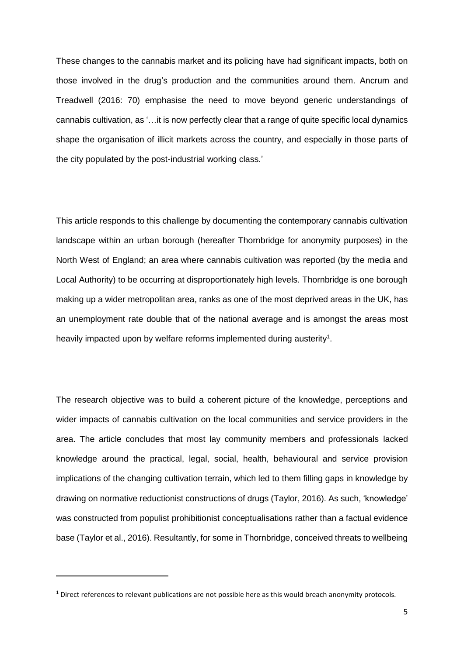These changes to the cannabis market and its policing have had significant impacts, both on those involved in the drug's production and the communities around them. Ancrum and Treadwell (2016: 70) emphasise the need to move beyond generic understandings of cannabis cultivation, as '…it is now perfectly clear that a range of quite specific local dynamics shape the organisation of illicit markets across the country, and especially in those parts of the city populated by the post-industrial working class.'

This article responds to this challenge by documenting the contemporary cannabis cultivation landscape within an urban borough (hereafter Thornbridge for anonymity purposes) in the North West of England; an area where cannabis cultivation was reported (by the media and Local Authority) to be occurring at disproportionately high levels. Thornbridge is one borough making up a wider metropolitan area, ranks as one of the most deprived areas in the UK, has an unemployment rate double that of the national average and is amongst the areas most heavily impacted upon by welfare reforms implemented during austerity<sup>1</sup>.

The research objective was to build a coherent picture of the knowledge, perceptions and wider impacts of cannabis cultivation on the local communities and service providers in the area. The article concludes that most lay community members and professionals lacked knowledge around the practical, legal, social, health, behavioural and service provision implications of the changing cultivation terrain, which led to them filling gaps in knowledge by drawing on normative reductionist constructions of drugs (Taylor, 2016). As such, 'knowledge' was constructed from populist prohibitionist conceptualisations rather than a factual evidence base (Taylor et al., 2016). Resultantly, for some in Thornbridge, conceived threats to wellbeing

**.** 

<sup>&</sup>lt;sup>1</sup> Direct references to relevant publications are not possible here as this would breach anonymity protocols.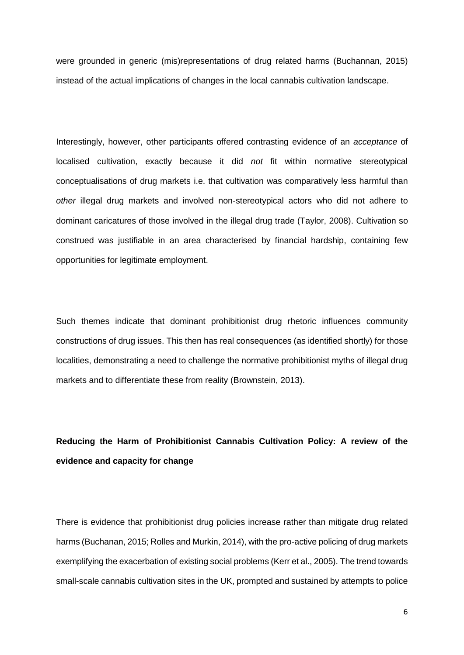were grounded in generic (mis)representations of drug related harms (Buchannan, 2015) instead of the actual implications of changes in the local cannabis cultivation landscape.

Interestingly, however, other participants offered contrasting evidence of an *acceptance* of localised cultivation, exactly because it did *not* fit within normative stereotypical conceptualisations of drug markets i.e. that cultivation was comparatively less harmful than *other* illegal drug markets and involved non-stereotypical actors who did not adhere to dominant caricatures of those involved in the illegal drug trade (Taylor, 2008). Cultivation so construed was justifiable in an area characterised by financial hardship, containing few opportunities for legitimate employment.

Such themes indicate that dominant prohibitionist drug rhetoric influences community constructions of drug issues. This then has real consequences (as identified shortly) for those localities, demonstrating a need to challenge the normative prohibitionist myths of illegal drug markets and to differentiate these from reality (Brownstein, 2013).

# **Reducing the Harm of Prohibitionist Cannabis Cultivation Policy: A review of the evidence and capacity for change**

There is evidence that prohibitionist drug policies increase rather than mitigate drug related harms (Buchanan, 2015; Rolles and Murkin, 2014), with the pro-active policing of drug markets exemplifying the exacerbation of existing social problems (Kerr et al., 2005). The trend towards small-scale cannabis cultivation sites in the UK, prompted and sustained by attempts to police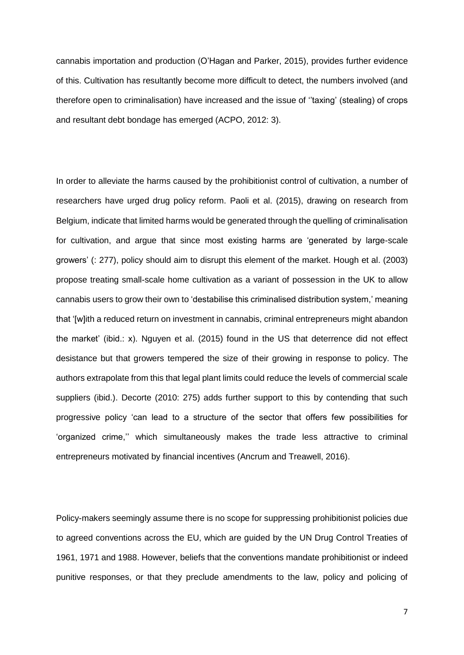cannabis importation and production (O'Hagan and Parker, 2015), provides further evidence of this. Cultivation has resultantly become more difficult to detect, the numbers involved (and therefore open to criminalisation) have increased and the issue of ''taxing' (stealing) of crops and resultant debt bondage has emerged (ACPO, 2012: 3).

In order to alleviate the harms caused by the prohibitionist control of cultivation, a number of researchers have urged drug policy reform. Paoli et al. (2015), drawing on research from Belgium, indicate that limited harms would be generated through the quelling of criminalisation for cultivation, and argue that since most existing harms are 'generated by large-scale growers' (: 277), policy should aim to disrupt this element of the market. Hough et al. (2003) propose treating small-scale home cultivation as a variant of possession in the UK to allow cannabis users to grow their own to 'destabilise this criminalised distribution system,' meaning that '[w]ith a reduced return on investment in cannabis, criminal entrepreneurs might abandon the market' (ibid.: x). Nguyen et al. (2015) found in the US that deterrence did not effect desistance but that growers tempered the size of their growing in response to policy. The authors extrapolate from this that legal plant limits could reduce the levels of commercial scale suppliers (ibid.). Decorte (2010: 275) adds further support to this by contending that such progressive policy 'can lead to a structure of the sector that offers few possibilities for 'organized crime,'' which simultaneously makes the trade less attractive to criminal entrepreneurs motivated by financial incentives (Ancrum and Treawell, 2016).

Policy-makers seemingly assume there is no scope for suppressing prohibitionist policies due to agreed conventions across the EU, which are guided by the UN Drug Control Treaties of 1961, 1971 and 1988. However, beliefs that the conventions mandate prohibitionist or indeed punitive responses, or that they preclude amendments to the law, policy and policing of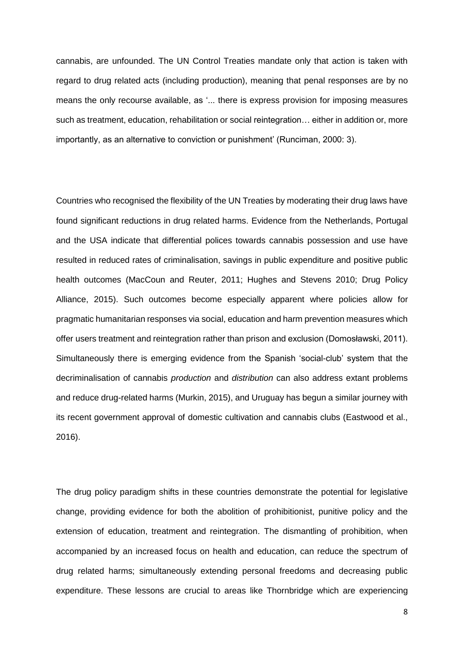cannabis, are unfounded. The UN Control Treaties mandate only that action is taken with regard to drug related acts (including production), meaning that penal responses are by no means the only recourse available, as '... there is express provision for imposing measures such as treatment, education, rehabilitation or social reintegration… either in addition or, more importantly, as an alternative to conviction or punishment' (Runciman, 2000: 3).

Countries who recognised the flexibility of the UN Treaties by moderating their drug laws have found significant reductions in drug related harms. Evidence from the Netherlands, Portugal and the USA indicate that differential polices towards cannabis possession and use have resulted in reduced rates of criminalisation, savings in public expenditure and positive public health outcomes (MacCoun and Reuter, 2011; Hughes and Stevens 2010; Drug Policy Alliance, 2015). Such outcomes become especially apparent where policies allow for pragmatic humanitarian responses via social, education and harm prevention measures which offer users treatment and reintegration rather than prison and exclusion (Domosławski, 2011). Simultaneously there is emerging evidence from the Spanish 'social-club' system that the decriminalisation of cannabis *production* and *distribution* can also address extant problems and reduce drug-related harms (Murkin, 2015), and Uruguay has begun a similar journey with its recent government approval of domestic cultivation and cannabis clubs (Eastwood et al., 2016).

The drug policy paradigm shifts in these countries demonstrate the potential for legislative change, providing evidence for both the abolition of prohibitionist, punitive policy and the extension of education, treatment and reintegration. The dismantling of prohibition, when accompanied by an increased focus on health and education, can reduce the spectrum of drug related harms; simultaneously extending personal freedoms and decreasing public expenditure. These lessons are crucial to areas like Thornbridge which are experiencing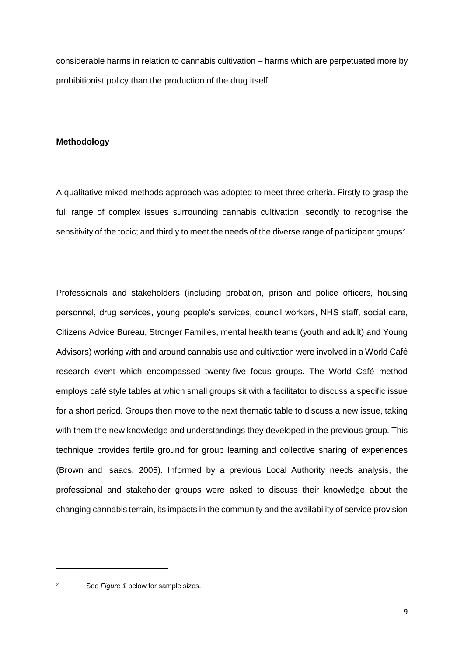considerable harms in relation to cannabis cultivation – harms which are perpetuated more by prohibitionist policy than the production of the drug itself.

### **Methodology**

A qualitative mixed methods approach was adopted to meet three criteria. Firstly to grasp the full range of complex issues surrounding cannabis cultivation; secondly to recognise the sensitivity of the topic; and thirdly to meet the needs of the diverse range of participant groups<sup>2</sup>.

Professionals and stakeholders (including probation, prison and police officers, housing personnel, drug services, young people's services, council workers, NHS staff, social care, Citizens Advice Bureau, Stronger Families, mental health teams (youth and adult) and Young Advisors) working with and around cannabis use and cultivation were involved in a World Café research event which encompassed twenty-five focus groups. The World Café method employs café style tables at which small groups sit with a facilitator to discuss a specific issue for a short period. Groups then move to the next thematic table to discuss a new issue, taking with them the new knowledge and understandings they developed in the previous group. This technique provides fertile ground for group learning and collective sharing of experiences (Brown and Isaacs, 2005). Informed by a previous Local Authority needs analysis, the professional and stakeholder groups were asked to discuss their knowledge about the changing cannabis terrain, its impacts in the community and the availability of service provision

**.** 

<sup>2</sup> See *Figure 1* below for sample sizes.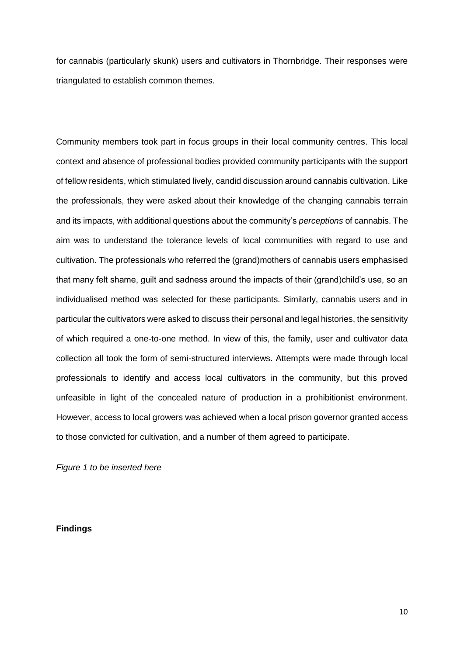for cannabis (particularly skunk) users and cultivators in Thornbridge. Their responses were triangulated to establish common themes.

Community members took part in focus groups in their local community centres. This local context and absence of professional bodies provided community participants with the support of fellow residents, which stimulated lively, candid discussion around cannabis cultivation. Like the professionals, they were asked about their knowledge of the changing cannabis terrain and its impacts, with additional questions about the community's *perceptions* of cannabis. The aim was to understand the tolerance levels of local communities with regard to use and cultivation. The professionals who referred the (grand)mothers of cannabis users emphasised that many felt shame, guilt and sadness around the impacts of their (grand)child's use, so an individualised method was selected for these participants. Similarly, cannabis users and in particular the cultivators were asked to discuss their personal and legal histories, the sensitivity of which required a one-to-one method. In view of this, the family, user and cultivator data collection all took the form of semi-structured interviews. Attempts were made through local professionals to identify and access local cultivators in the community, but this proved unfeasible in light of the concealed nature of production in a prohibitionist environment. However, access to local growers was achieved when a local prison governor granted access to those convicted for cultivation, and a number of them agreed to participate.

*Figure 1 to be inserted here*

**Findings**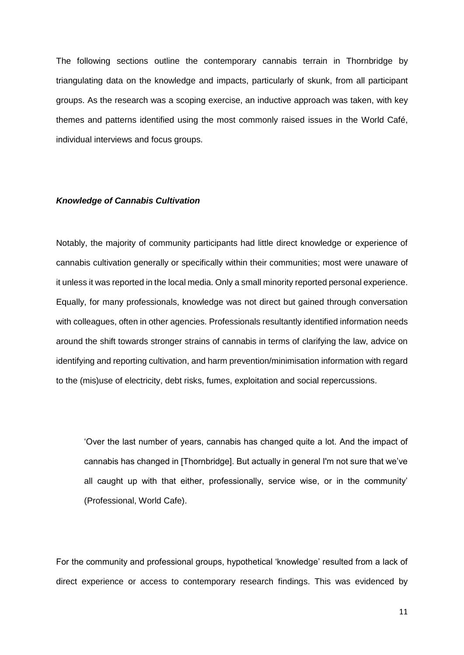The following sections outline the contemporary cannabis terrain in Thornbridge by triangulating data on the knowledge and impacts, particularly of skunk, from all participant groups. As the research was a scoping exercise, an inductive approach was taken, with key themes and patterns identified using the most commonly raised issues in the World Café, individual interviews and focus groups.

#### *Knowledge of Cannabis Cultivation*

Notably, the majority of community participants had little direct knowledge or experience of cannabis cultivation generally or specifically within their communities; most were unaware of it unless it was reported in the local media. Only a small minority reported personal experience. Equally, for many professionals, knowledge was not direct but gained through conversation with colleagues, often in other agencies. Professionals resultantly identified information needs around the shift towards stronger strains of cannabis in terms of clarifying the law, advice on identifying and reporting cultivation, and harm prevention/minimisation information with regard to the (mis)use of electricity, debt risks, fumes, exploitation and social repercussions.

'Over the last number of years, cannabis has changed quite a lot. And the impact of cannabis has changed in [Thornbridge]. But actually in general I'm not sure that we've all caught up with that either, professionally, service wise, or in the community' (Professional, World Cafe).

For the community and professional groups, hypothetical 'knowledge' resulted from a lack of direct experience or access to contemporary research findings. This was evidenced by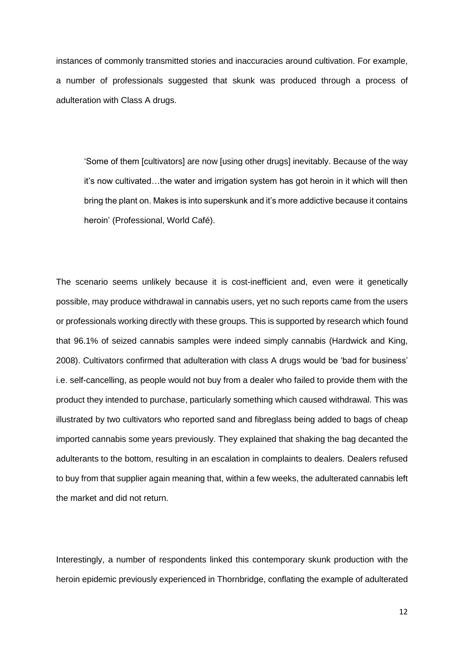instances of commonly transmitted stories and inaccuracies around cultivation. For example, a number of professionals suggested that skunk was produced through a process of adulteration with Class A drugs.

'Some of them [cultivators] are now [using other drugs] inevitably. Because of the way it's now cultivated…the water and irrigation system has got heroin in it which will then bring the plant on. Makes is into superskunk and it's more addictive because it contains heroin' (Professional, World Café).

The scenario seems unlikely because it is cost-inefficient and, even were it genetically possible, may produce withdrawal in cannabis users, yet no such reports came from the users or professionals working directly with these groups. This is supported by research which found that 96.1% of seized cannabis samples were indeed simply cannabis (Hardwick and King, 2008). Cultivators confirmed that adulteration with class A drugs would be 'bad for business' i.e. self-cancelling, as people would not buy from a dealer who failed to provide them with the product they intended to purchase, particularly something which caused withdrawal. This was illustrated by two cultivators who reported sand and fibreglass being added to bags of cheap imported cannabis some years previously. They explained that shaking the bag decanted the adulterants to the bottom, resulting in an escalation in complaints to dealers. Dealers refused to buy from that supplier again meaning that, within a few weeks, the adulterated cannabis left the market and did not return.

Interestingly, a number of respondents linked this contemporary skunk production with the heroin epidemic previously experienced in Thornbridge, conflating the example of adulterated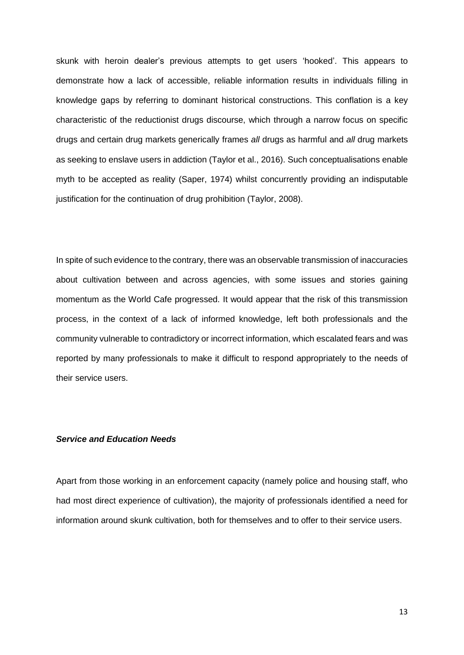skunk with heroin dealer's previous attempts to get users 'hooked'. This appears to demonstrate how a lack of accessible, reliable information results in individuals filling in knowledge gaps by referring to dominant historical constructions. This conflation is a key characteristic of the reductionist drugs discourse, which through a narrow focus on specific drugs and certain drug markets generically frames *all* drugs as harmful and *all* drug markets as seeking to enslave users in addiction (Taylor et al., 2016). Such conceptualisations enable myth to be accepted as reality (Saper, 1974) whilst concurrently providing an indisputable justification for the continuation of drug prohibition (Taylor, 2008).

In spite of such evidence to the contrary, there was an observable transmission of inaccuracies about cultivation between and across agencies, with some issues and stories gaining momentum as the World Cafe progressed. It would appear that the risk of this transmission process, in the context of a lack of informed knowledge, left both professionals and the community vulnerable to contradictory or incorrect information, which escalated fears and was reported by many professionals to make it difficult to respond appropriately to the needs of their service users.

### *Service and Education Needs*

Apart from those working in an enforcement capacity (namely police and housing staff, who had most direct experience of cultivation), the majority of professionals identified a need for information around skunk cultivation, both for themselves and to offer to their service users.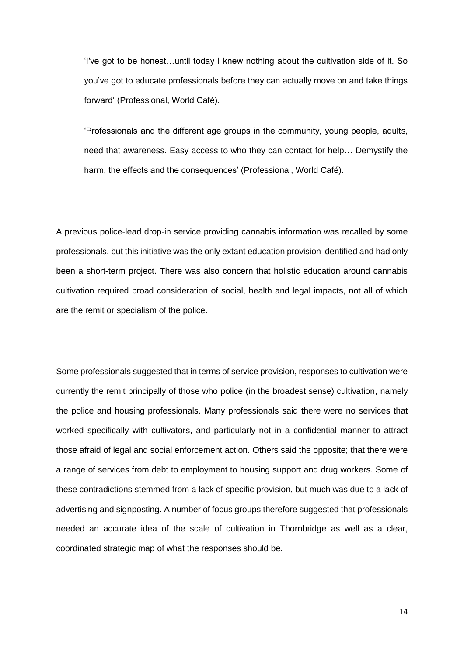'I've got to be honest…until today I knew nothing about the cultivation side of it. So you've got to educate professionals before they can actually move on and take things forward' (Professional, World Café).

'Professionals and the different age groups in the community, young people, adults, need that awareness. Easy access to who they can contact for help… Demystify the harm, the effects and the consequences' (Professional, World Café).

A previous police-lead drop-in service providing cannabis information was recalled by some professionals, but this initiative was the only extant education provision identified and had only been a short-term project. There was also concern that holistic education around cannabis cultivation required broad consideration of social, health and legal impacts, not all of which are the remit or specialism of the police.

Some professionals suggested that in terms of service provision, responses to cultivation were currently the remit principally of those who police (in the broadest sense) cultivation, namely the police and housing professionals. Many professionals said there were no services that worked specifically with cultivators, and particularly not in a confidential manner to attract those afraid of legal and social enforcement action. Others said the opposite; that there were a range of services from debt to employment to housing support and drug workers. Some of these contradictions stemmed from a lack of specific provision, but much was due to a lack of advertising and signposting. A number of focus groups therefore suggested that professionals needed an accurate idea of the scale of cultivation in Thornbridge as well as a clear, coordinated strategic map of what the responses should be.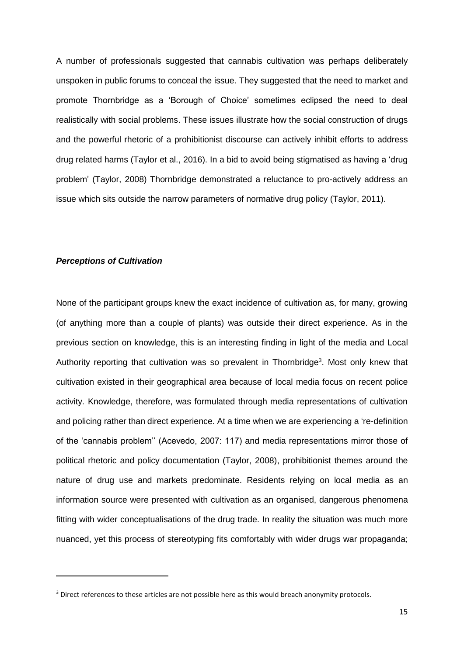A number of professionals suggested that cannabis cultivation was perhaps deliberately unspoken in public forums to conceal the issue. They suggested that the need to market and promote Thornbridge as a 'Borough of Choice' sometimes eclipsed the need to deal realistically with social problems. These issues illustrate how the social construction of drugs and the powerful rhetoric of a prohibitionist discourse can actively inhibit efforts to address drug related harms (Taylor et al., 2016). In a bid to avoid being stigmatised as having a 'drug problem' (Taylor, 2008) Thornbridge demonstrated a reluctance to pro-actively address an issue which sits outside the narrow parameters of normative drug policy (Taylor, 2011).

#### *Perceptions of Cultivation*

**.** 

None of the participant groups knew the exact incidence of cultivation as, for many, growing (of anything more than a couple of plants) was outside their direct experience. As in the previous section on knowledge, this is an interesting finding in light of the media and Local Authority reporting that cultivation was so prevalent in Thornbridge<sup>3</sup>. Most only knew that cultivation existed in their geographical area because of local media focus on recent police activity. Knowledge, therefore, was formulated through media representations of cultivation and policing rather than direct experience. At a time when we are experiencing a 're-definition of the 'cannabis problem'' (Acevedo, 2007: 117) and media representations mirror those of political rhetoric and policy documentation (Taylor, 2008), prohibitionist themes around the nature of drug use and markets predominate. Residents relying on local media as an information source were presented with cultivation as an organised, dangerous phenomena fitting with wider conceptualisations of the drug trade. In reality the situation was much more nuanced, yet this process of stereotyping fits comfortably with wider drugs war propaganda;

<sup>&</sup>lt;sup>3</sup> Direct references to these articles are not possible here as this would breach anonymity protocols.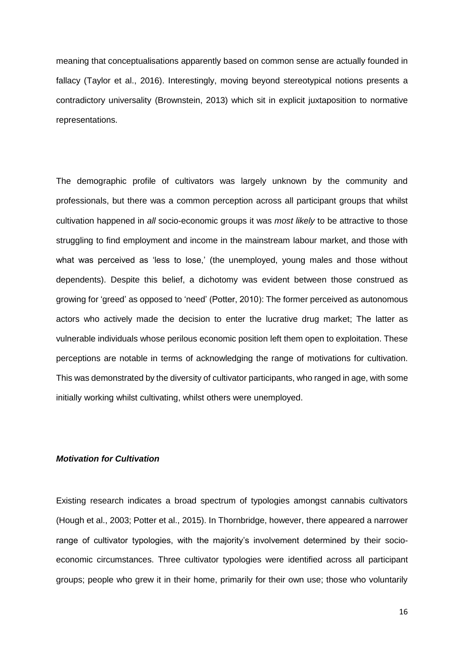meaning that conceptualisations apparently based on common sense are actually founded in fallacy (Taylor et al., 2016). Interestingly, moving beyond stereotypical notions presents a contradictory universality (Brownstein, 2013) which sit in explicit juxtaposition to normative representations.

The demographic profile of cultivators was largely unknown by the community and professionals, but there was a common perception across all participant groups that whilst cultivation happened in *all* socio-economic groups it was *most likely* to be attractive to those struggling to find employment and income in the mainstream labour market, and those with what was perceived as 'less to lose,' (the unemployed, young males and those without dependents). Despite this belief, a dichotomy was evident between those construed as growing for 'greed' as opposed to 'need' (Potter, 2010): The former perceived as autonomous actors who actively made the decision to enter the lucrative drug market; The latter as vulnerable individuals whose perilous economic position left them open to exploitation. These perceptions are notable in terms of acknowledging the range of motivations for cultivation. This was demonstrated by the diversity of cultivator participants, who ranged in age, with some initially working whilst cultivating, whilst others were unemployed.

#### *Motivation for Cultivation*

Existing research indicates a broad spectrum of typologies amongst cannabis cultivators (Hough et al., 2003; Potter et al., 2015). In Thornbridge, however, there appeared a narrower range of cultivator typologies, with the majority's involvement determined by their socioeconomic circumstances. Three cultivator typologies were identified across all participant groups; people who grew it in their home, primarily for their own use; those who voluntarily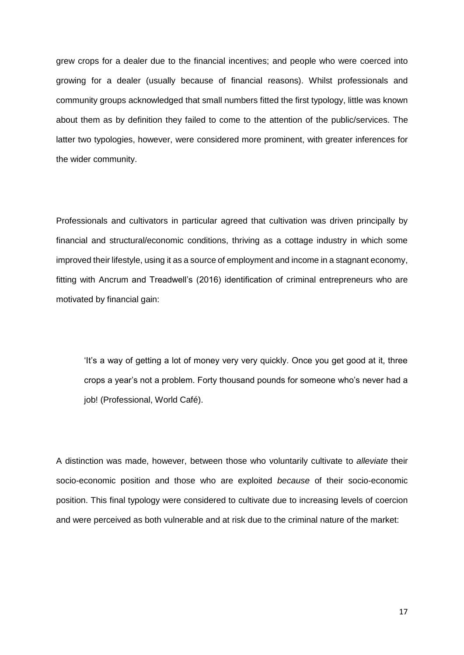grew crops for a dealer due to the financial incentives; and people who were coerced into growing for a dealer (usually because of financial reasons). Whilst professionals and community groups acknowledged that small numbers fitted the first typology, little was known about them as by definition they failed to come to the attention of the public/services. The latter two typologies, however, were considered more prominent, with greater inferences for the wider community.

Professionals and cultivators in particular agreed that cultivation was driven principally by financial and structural/economic conditions, thriving as a cottage industry in which some improved their lifestyle, using it as a source of employment and income in a stagnant economy, fitting with Ancrum and Treadwell's (2016) identification of criminal entrepreneurs who are motivated by financial gain:

'It's a way of getting a lot of money very very quickly. Once you get good at it, three crops a year's not a problem. Forty thousand pounds for someone who's never had a job! (Professional, World Café).

A distinction was made, however, between those who voluntarily cultivate to *alleviate* their socio-economic position and those who are exploited *because* of their socio-economic position. This final typology were considered to cultivate due to increasing levels of coercion and were perceived as both vulnerable and at risk due to the criminal nature of the market: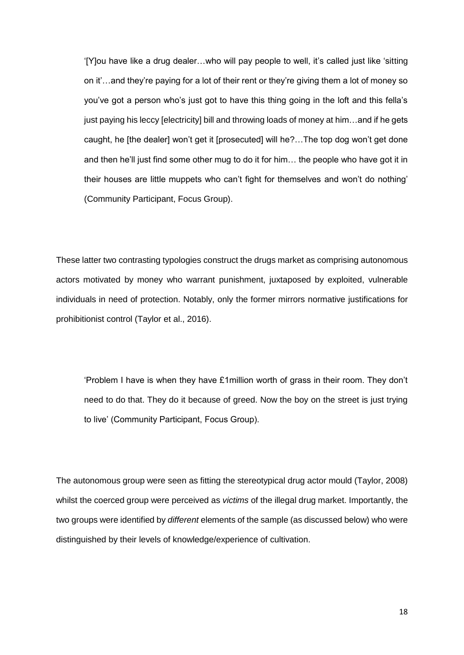'[Y]ou have like a drug dealer…who will pay people to well, it's called just like 'sitting on it'…and they're paying for a lot of their rent or they're giving them a lot of money so you've got a person who's just got to have this thing going in the loft and this fella's just paying his leccy [electricity] bill and throwing loads of money at him…and if he gets caught, he [the dealer] won't get it [prosecuted] will he?…The top dog won't get done and then he'll just find some other mug to do it for him… the people who have got it in their houses are little muppets who can't fight for themselves and won't do nothing' (Community Participant, Focus Group).

These latter two contrasting typologies construct the drugs market as comprising autonomous actors motivated by money who warrant punishment, juxtaposed by exploited, vulnerable individuals in need of protection. Notably, only the former mirrors normative justifications for prohibitionist control (Taylor et al., 2016).

'Problem I have is when they have £1million worth of grass in their room. They don't need to do that. They do it because of greed. Now the boy on the street is just trying to live' (Community Participant, Focus Group).

The autonomous group were seen as fitting the stereotypical drug actor mould (Taylor, 2008) whilst the coerced group were perceived as *victims* of the illegal drug market. Importantly, the two groups were identified by *different* elements of the sample (as discussed below) who were distinguished by their levels of knowledge/experience of cultivation.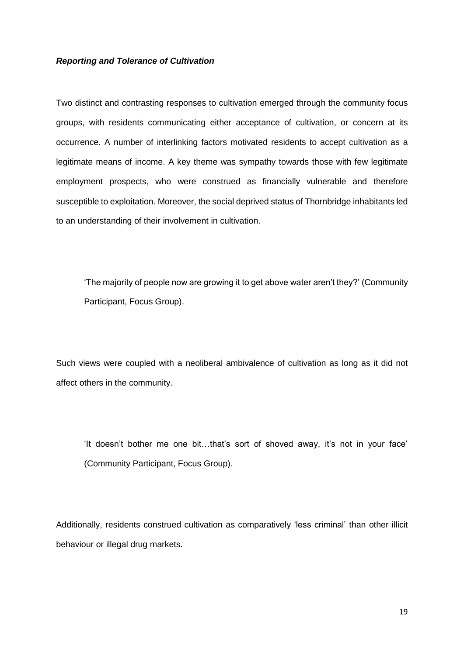#### *Reporting and Tolerance of Cultivation*

Two distinct and contrasting responses to cultivation emerged through the community focus groups, with residents communicating either acceptance of cultivation, or concern at its occurrence. A number of interlinking factors motivated residents to accept cultivation as a legitimate means of income. A key theme was sympathy towards those with few legitimate employment prospects, who were construed as financially vulnerable and therefore susceptible to exploitation. Moreover, the social deprived status of Thornbridge inhabitants led to an understanding of their involvement in cultivation.

'The majority of people now are growing it to get above water aren't they?' (Community Participant, Focus Group).

Such views were coupled with a neoliberal ambivalence of cultivation as long as it did not affect others in the community.

'It doesn't bother me one bit…that's sort of shoved away, it's not in your face' (Community Participant, Focus Group).

Additionally, residents construed cultivation as comparatively 'less criminal' than other illicit behaviour or illegal drug markets.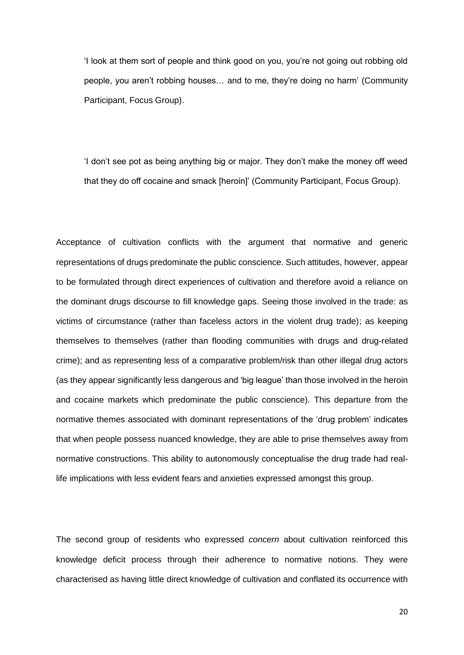'I look at them sort of people and think good on you, you're not going out robbing old people, you aren't robbing houses… and to me, they're doing no harm' (Community Participant, Focus Group).

'I don't see pot as being anything big or major. They don't make the money off weed that they do off cocaine and smack [heroin]' (Community Participant, Focus Group).

Acceptance of cultivation conflicts with the argument that normative and generic representations of drugs predominate the public conscience. Such attitudes, however, appear to be formulated through direct experiences of cultivation and therefore avoid a reliance on the dominant drugs discourse to fill knowledge gaps. Seeing those involved in the trade: as victims of circumstance (rather than faceless actors in the violent drug trade); as keeping themselves to themselves (rather than flooding communities with drugs and drug-related crime); and as representing less of a comparative problem/risk than other illegal drug actors (as they appear significantly less dangerous and 'big league' than those involved in the heroin and cocaine markets which predominate the public conscience). This departure from the normative themes associated with dominant representations of the 'drug problem' indicates that when people possess nuanced knowledge, they are able to prise themselves away from normative constructions. This ability to autonomously conceptualise the drug trade had reallife implications with less evident fears and anxieties expressed amongst this group.

The second group of residents who expressed *concern* about cultivation reinforced this knowledge deficit process through their adherence to normative notions. They were characterised as having little direct knowledge of cultivation and conflated its occurrence with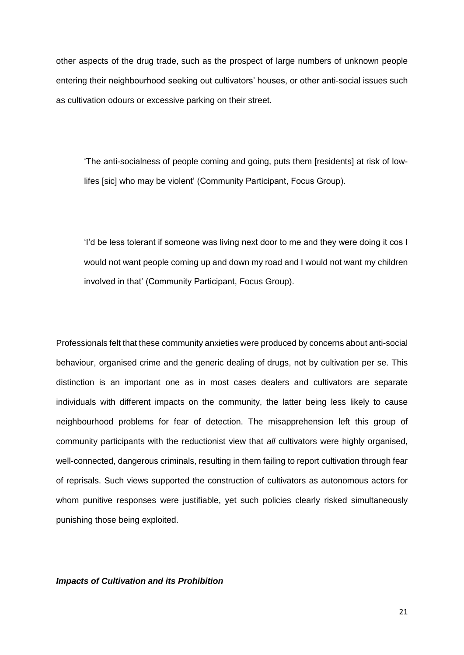other aspects of the drug trade, such as the prospect of large numbers of unknown people entering their neighbourhood seeking out cultivators' houses, or other anti-social issues such as cultivation odours or excessive parking on their street.

'The anti-socialness of people coming and going, puts them [residents] at risk of lowlifes [sic] who may be violent' (Community Participant, Focus Group).

'I'd be less tolerant if someone was living next door to me and they were doing it cos I would not want people coming up and down my road and I would not want my children involved in that' (Community Participant, Focus Group).

Professionals felt that these community anxieties were produced by concerns about anti-social behaviour, organised crime and the generic dealing of drugs, not by cultivation per se. This distinction is an important one as in most cases dealers and cultivators are separate individuals with different impacts on the community, the latter being less likely to cause neighbourhood problems for fear of detection. The misapprehension left this group of community participants with the reductionist view that *all* cultivators were highly organised, well-connected, dangerous criminals, resulting in them failing to report cultivation through fear of reprisals. Such views supported the construction of cultivators as autonomous actors for whom punitive responses were justifiable, yet such policies clearly risked simultaneously punishing those being exploited.

*Impacts of Cultivation and its Prohibition*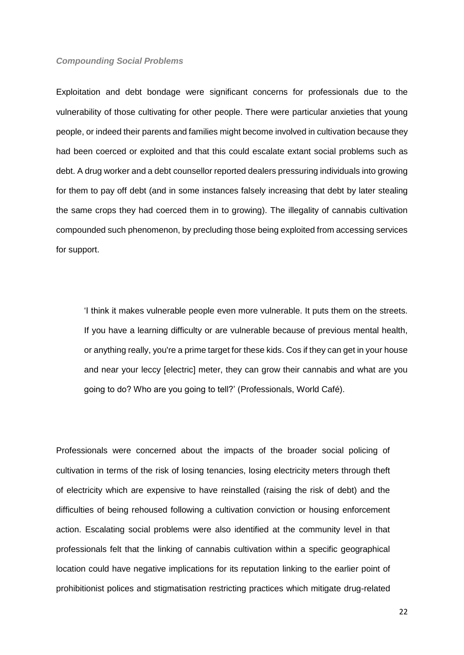#### *Compounding Social Problems*

Exploitation and debt bondage were significant concerns for professionals due to the vulnerability of those cultivating for other people. There were particular anxieties that young people, or indeed their parents and families might become involved in cultivation because they had been coerced or exploited and that this could escalate extant social problems such as debt. A drug worker and a debt counsellor reported dealers pressuring individuals into growing for them to pay off debt (and in some instances falsely increasing that debt by later stealing the same crops they had coerced them in to growing). The illegality of cannabis cultivation compounded such phenomenon, by precluding those being exploited from accessing services for support.

'I think it makes vulnerable people even more vulnerable. It puts them on the streets. If you have a learning difficulty or are vulnerable because of previous mental health, or anything really, you're a prime target for these kids. Cos if they can get in your house and near your leccy [electric] meter, they can grow their cannabis and what are you going to do? Who are you going to tell?' (Professionals, World Café).

Professionals were concerned about the impacts of the broader social policing of cultivation in terms of the risk of losing tenancies, losing electricity meters through theft of electricity which are expensive to have reinstalled (raising the risk of debt) and the difficulties of being rehoused following a cultivation conviction or housing enforcement action. Escalating social problems were also identified at the community level in that professionals felt that the linking of cannabis cultivation within a specific geographical location could have negative implications for its reputation linking to the earlier point of prohibitionist polices and stigmatisation restricting practices which mitigate drug-related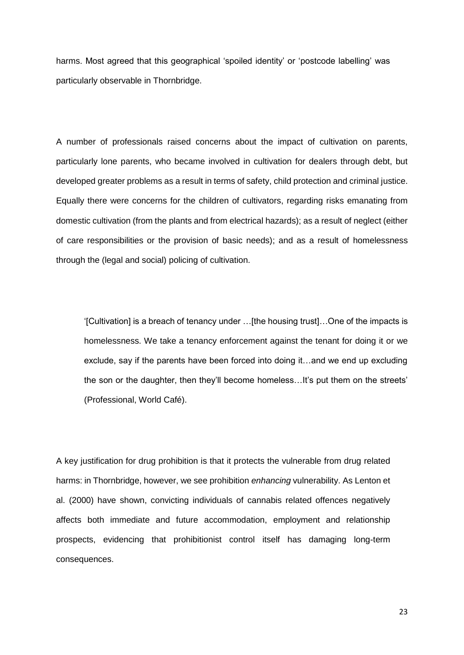harms. Most agreed that this geographical 'spoiled identity' or 'postcode labelling' was particularly observable in Thornbridge.

A number of professionals raised concerns about the impact of cultivation on parents, particularly lone parents, who became involved in cultivation for dealers through debt, but developed greater problems as a result in terms of safety, child protection and criminal justice. Equally there were concerns for the children of cultivators, regarding risks emanating from domestic cultivation (from the plants and from electrical hazards); as a result of neglect (either of care responsibilities or the provision of basic needs); and as a result of homelessness through the (legal and social) policing of cultivation.

'[Cultivation] is a breach of tenancy under …[the housing trust]…One of the impacts is homelessness. We take a tenancy enforcement against the tenant for doing it or we exclude, say if the parents have been forced into doing it…and we end up excluding the son or the daughter, then they'll become homeless…It's put them on the streets' (Professional, World Café).

A key justification for drug prohibition is that it protects the vulnerable from drug related harms: in Thornbridge, however, we see prohibition *enhancing* vulnerability. As Lenton et al. (2000) have shown, convicting individuals of cannabis related offences negatively affects both immediate and future accommodation, employment and relationship prospects, evidencing that prohibitionist control itself has damaging long-term consequences.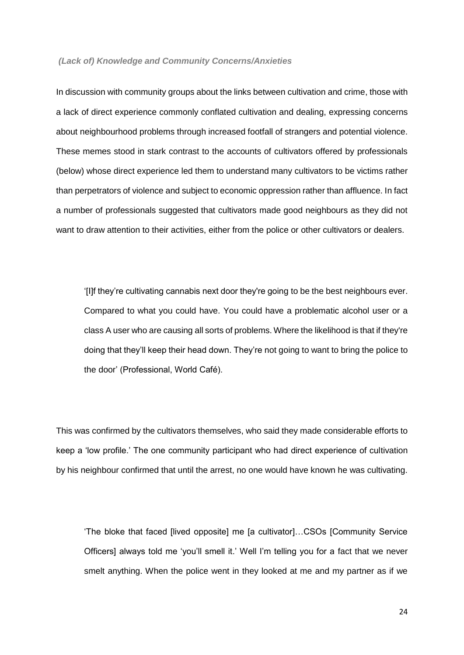#### *(Lack of) Knowledge and Community Concerns/Anxieties*

In discussion with community groups about the links between cultivation and crime, those with a lack of direct experience commonly conflated cultivation and dealing, expressing concerns about neighbourhood problems through increased footfall of strangers and potential violence. These memes stood in stark contrast to the accounts of cultivators offered by professionals (below) whose direct experience led them to understand many cultivators to be victims rather than perpetrators of violence and subject to economic oppression rather than affluence. In fact a number of professionals suggested that cultivators made good neighbours as they did not want to draw attention to their activities, either from the police or other cultivators or dealers.

'[I]f they're cultivating cannabis next door they're going to be the best neighbours ever. Compared to what you could have. You could have a problematic alcohol user or a class A user who are causing all sorts of problems. Where the likelihood is that if they're doing that they'll keep their head down. They're not going to want to bring the police to the door' (Professional, World Café).

This was confirmed by the cultivators themselves, who said they made considerable efforts to keep a 'low profile.' The one community participant who had direct experience of cultivation by his neighbour confirmed that until the arrest, no one would have known he was cultivating.

'The bloke that faced [lived opposite] me [a cultivator]…CSOs [Community Service Officers] always told me 'you'll smell it.' Well I'm telling you for a fact that we never smelt anything. When the police went in they looked at me and my partner as if we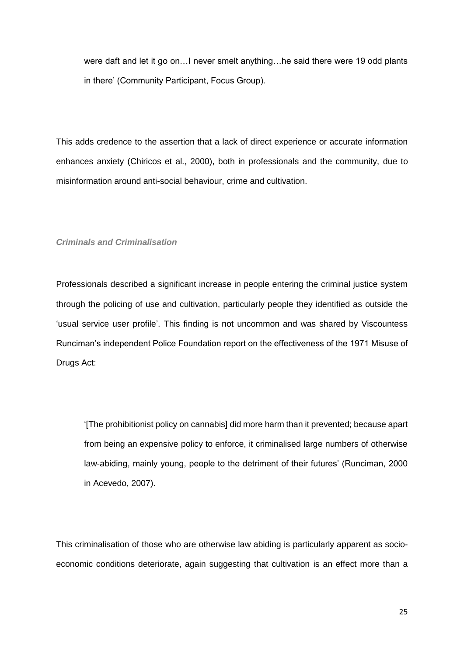were daft and let it go on…I never smelt anything…he said there were 19 odd plants in there' (Community Participant, Focus Group).

This adds credence to the assertion that a lack of direct experience or accurate information enhances anxiety (Chiricos et al., 2000), both in professionals and the community, due to misinformation around anti-social behaviour, crime and cultivation.

#### *Criminals and Criminalisation*

Professionals described a significant increase in people entering the criminal justice system through the policing of use and cultivation, particularly people they identified as outside the 'usual service user profile'. This finding is not uncommon and was shared by Viscountess Runciman's independent Police Foundation report on the effectiveness of the 1971 Misuse of Drugs Act:

'[The prohibitionist policy on cannabis] did more harm than it prevented; because apart from being an expensive policy to enforce, it criminalised large numbers of otherwise law-abiding, mainly young, people to the detriment of their futures' (Runciman, 2000 in Acevedo, 2007).

This criminalisation of those who are otherwise law abiding is particularly apparent as socioeconomic conditions deteriorate, again suggesting that cultivation is an effect more than a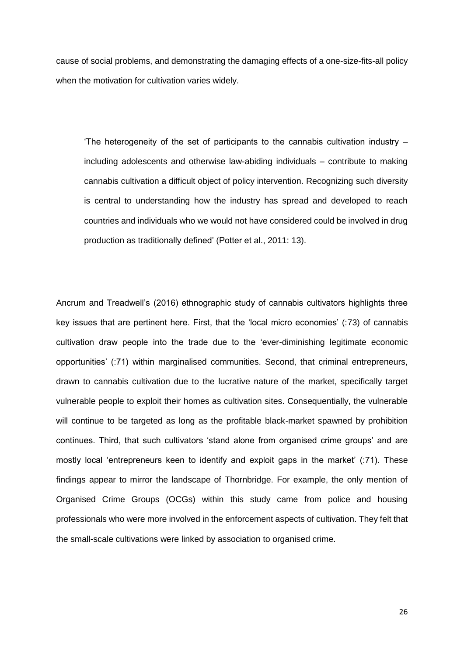cause of social problems, and demonstrating the damaging effects of a one-size-fits-all policy when the motivation for cultivation varies widely.

The heterogeneity of the set of participants to the cannabis cultivation industry  $$ including adolescents and otherwise law-abiding individuals – contribute to making cannabis cultivation a difficult object of policy intervention. Recognizing such diversity is central to understanding how the industry has spread and developed to reach countries and individuals who we would not have considered could be involved in drug production as traditionally defined' (Potter et al., 2011: 13).

Ancrum and Treadwell's (2016) ethnographic study of cannabis cultivators highlights three key issues that are pertinent here. First, that the 'local micro economies' (:73) of cannabis cultivation draw people into the trade due to the 'ever-diminishing legitimate economic opportunities' (:71) within marginalised communities. Second, that criminal entrepreneurs, drawn to cannabis cultivation due to the lucrative nature of the market, specifically target vulnerable people to exploit their homes as cultivation sites. Consequentially, the vulnerable will continue to be targeted as long as the profitable black-market spawned by prohibition continues. Third, that such cultivators 'stand alone from organised crime groups' and are mostly local 'entrepreneurs keen to identify and exploit gaps in the market' (:71). These findings appear to mirror the landscape of Thornbridge. For example, the only mention of Organised Crime Groups (OCGs) within this study came from police and housing professionals who were more involved in the enforcement aspects of cultivation. They felt that the small-scale cultivations were linked by association to organised crime.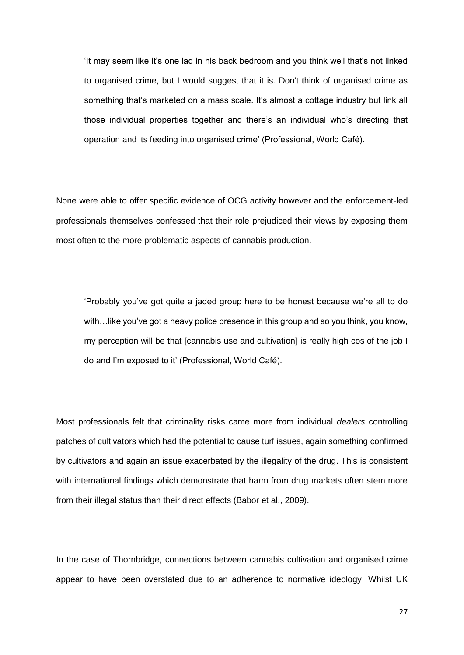'It may seem like it's one lad in his back bedroom and you think well that's not linked to organised crime, but I would suggest that it is. Don't think of organised crime as something that's marketed on a mass scale. It's almost a cottage industry but link all those individual properties together and there's an individual who's directing that operation and its feeding into organised crime' (Professional, World Café).

None were able to offer specific evidence of OCG activity however and the enforcement-led professionals themselves confessed that their role prejudiced their views by exposing them most often to the more problematic aspects of cannabis production.

'Probably you've got quite a jaded group here to be honest because we're all to do with…like you've got a heavy police presence in this group and so you think, you know, my perception will be that [cannabis use and cultivation] is really high cos of the job I do and I'm exposed to it' (Professional, World Café).

Most professionals felt that criminality risks came more from individual *dealers* controlling patches of cultivators which had the potential to cause turf issues, again something confirmed by cultivators and again an issue exacerbated by the illegality of the drug. This is consistent with international findings which demonstrate that harm from drug markets often stem more from their illegal status than their direct effects (Babor et al., 2009).

In the case of Thornbridge, connections between cannabis cultivation and organised crime appear to have been overstated due to an adherence to normative ideology. Whilst UK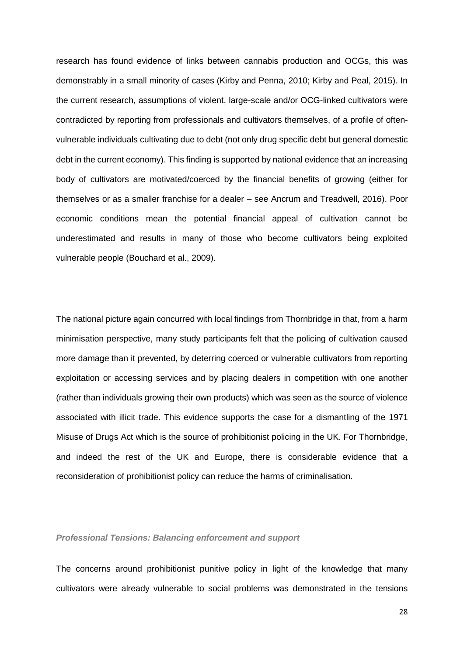research has found evidence of links between cannabis production and OCGs, this was demonstrably in a small minority of cases (Kirby and Penna, 2010; Kirby and Peal, 2015). In the current research, assumptions of violent, large-scale and/or OCG-linked cultivators were contradicted by reporting from professionals and cultivators themselves, of a profile of oftenvulnerable individuals cultivating due to debt (not only drug specific debt but general domestic debt in the current economy). This finding is supported by national evidence that an increasing body of cultivators are motivated/coerced by the financial benefits of growing (either for themselves or as a smaller franchise for a dealer – see Ancrum and Treadwell, 2016). Poor economic conditions mean the potential financial appeal of cultivation cannot be underestimated and results in many of those who become cultivators being exploited vulnerable people (Bouchard et al., 2009).

The national picture again concurred with local findings from Thornbridge in that, from a harm minimisation perspective, many study participants felt that the policing of cultivation caused more damage than it prevented, by deterring coerced or vulnerable cultivators from reporting exploitation or accessing services and by placing dealers in competition with one another (rather than individuals growing their own products) which was seen as the source of violence associated with illicit trade. This evidence supports the case for a dismantling of the 1971 Misuse of Drugs Act which is the source of prohibitionist policing in the UK. For Thornbridge, and indeed the rest of the UK and Europe, there is considerable evidence that a reconsideration of prohibitionist policy can reduce the harms of criminalisation.

### *Professional Tensions: Balancing enforcement and support*

The concerns around prohibitionist punitive policy in light of the knowledge that many cultivators were already vulnerable to social problems was demonstrated in the tensions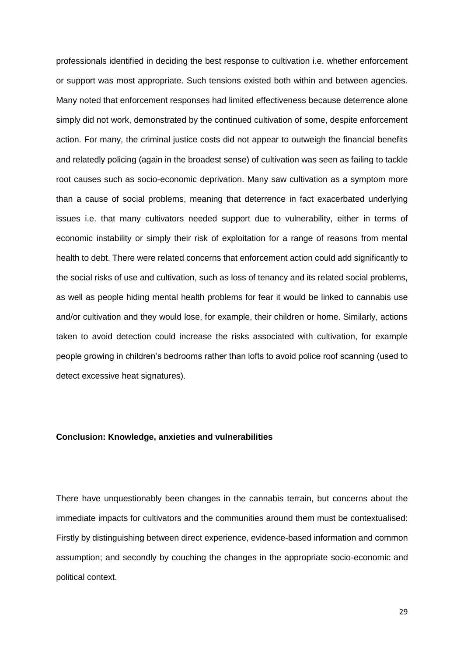professionals identified in deciding the best response to cultivation i.e. whether enforcement or support was most appropriate. Such tensions existed both within and between agencies. Many noted that enforcement responses had limited effectiveness because deterrence alone simply did not work, demonstrated by the continued cultivation of some, despite enforcement action. For many, the criminal justice costs did not appear to outweigh the financial benefits and relatedly policing (again in the broadest sense) of cultivation was seen as failing to tackle root causes such as socio-economic deprivation. Many saw cultivation as a symptom more than a cause of social problems, meaning that deterrence in fact exacerbated underlying issues i.e. that many cultivators needed support due to vulnerability, either in terms of economic instability or simply their risk of exploitation for a range of reasons from mental health to debt. There were related concerns that enforcement action could add significantly to the social risks of use and cultivation, such as loss of tenancy and its related social problems, as well as people hiding mental health problems for fear it would be linked to cannabis use and/or cultivation and they would lose, for example, their children or home. Similarly, actions taken to avoid detection could increase the risks associated with cultivation, for example people growing in children's bedrooms rather than lofts to avoid police roof scanning (used to detect excessive heat signatures).

#### **Conclusion: Knowledge, anxieties and vulnerabilities**

There have unquestionably been changes in the cannabis terrain, but concerns about the immediate impacts for cultivators and the communities around them must be contextualised: Firstly by distinguishing between direct experience, evidence-based information and common assumption; and secondly by couching the changes in the appropriate socio-economic and political context.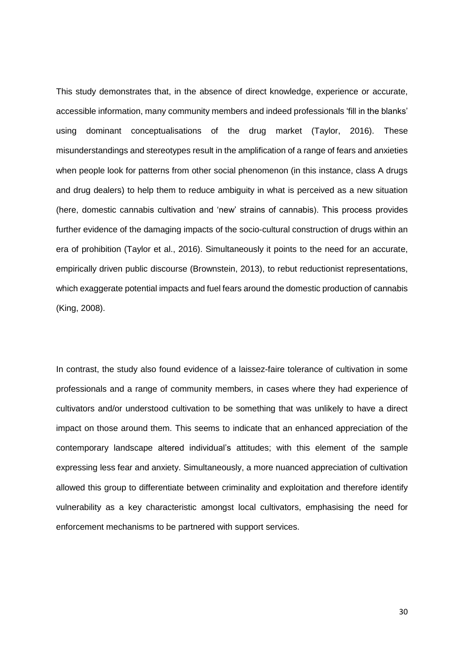This study demonstrates that, in the absence of direct knowledge, experience or accurate, accessible information, many community members and indeed professionals 'fill in the blanks' using dominant conceptualisations of the drug market (Taylor, 2016). These misunderstandings and stereotypes result in the amplification of a range of fears and anxieties when people look for patterns from other social phenomenon (in this instance, class A drugs and drug dealers) to help them to reduce ambiguity in what is perceived as a new situation (here, domestic cannabis cultivation and 'new' strains of cannabis). This process provides further evidence of the damaging impacts of the socio-cultural construction of drugs within an era of prohibition (Taylor et al., 2016). Simultaneously it points to the need for an accurate, empirically driven public discourse (Brownstein, 2013), to rebut reductionist representations, which exaggerate potential impacts and fuel fears around the domestic production of cannabis (King, 2008).

In contrast, the study also found evidence of a laissez-faire tolerance of cultivation in some professionals and a range of community members, in cases where they had experience of cultivators and/or understood cultivation to be something that was unlikely to have a direct impact on those around them. This seems to indicate that an enhanced appreciation of the contemporary landscape altered individual's attitudes; with this element of the sample expressing less fear and anxiety. Simultaneously, a more nuanced appreciation of cultivation allowed this group to differentiate between criminality and exploitation and therefore identify vulnerability as a key characteristic amongst local cultivators, emphasising the need for enforcement mechanisms to be partnered with support services.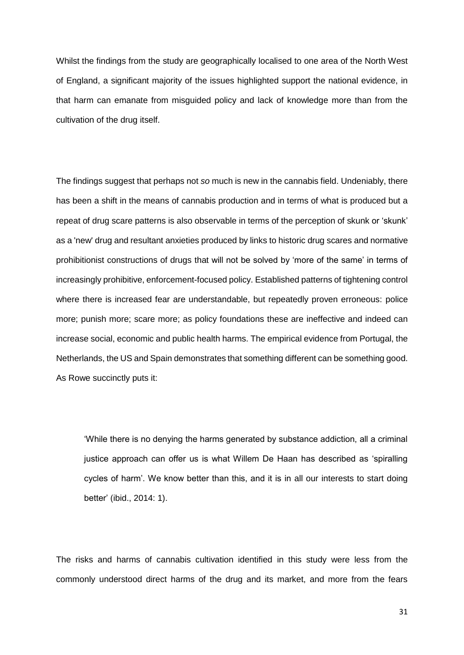Whilst the findings from the study are geographically localised to one area of the North West of England, a significant majority of the issues highlighted support the national evidence, in that harm can emanate from misguided policy and lack of knowledge more than from the cultivation of the drug itself.

The findings suggest that perhaps not *so* much is new in the cannabis field. Undeniably, there has been a shift in the means of cannabis production and in terms of what is produced but a repeat of drug scare patterns is also observable in terms of the perception of skunk or 'skunk' as a 'new' drug and resultant anxieties produced by links to historic drug scares and normative prohibitionist constructions of drugs that will not be solved by 'more of the same' in terms of increasingly prohibitive, enforcement-focused policy. Established patterns of tightening control where there is increased fear are understandable, but repeatedly proven erroneous: police more; punish more; scare more; as policy foundations these are ineffective and indeed can increase social, economic and public health harms. The empirical evidence from Portugal, the Netherlands, the US and Spain demonstrates that something different can be something good. As Rowe succinctly puts it:

'While there is no denying the harms generated by substance addiction, all a criminal justice approach can offer us is what Willem De Haan has described as 'spiralling cycles of harm'. We know better than this, and it is in all our interests to start doing better' (ibid., 2014: 1).

The risks and harms of cannabis cultivation identified in this study were less from the commonly understood direct harms of the drug and its market, and more from the fears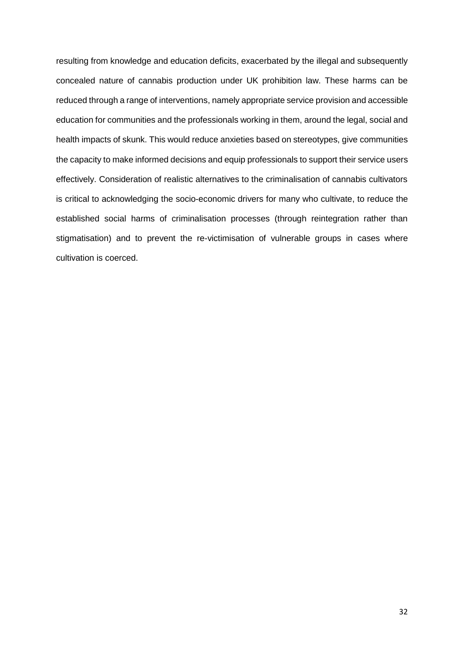resulting from knowledge and education deficits, exacerbated by the illegal and subsequently concealed nature of cannabis production under UK prohibition law. These harms can be reduced through a range of interventions, namely appropriate service provision and accessible education for communities and the professionals working in them, around the legal, social and health impacts of skunk. This would reduce anxieties based on stereotypes, give communities the capacity to make informed decisions and equip professionals to support their service users effectively. Consideration of realistic alternatives to the criminalisation of cannabis cultivators is critical to acknowledging the socio-economic drivers for many who cultivate, to reduce the established social harms of criminalisation processes (through reintegration rather than stigmatisation) and to prevent the re-victimisation of vulnerable groups in cases where cultivation is coerced.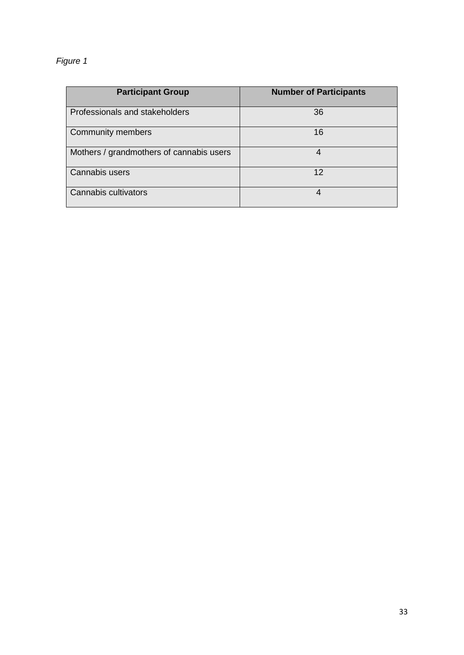# *Figure 1*

| <b>Participant Group</b>                 | <b>Number of Participants</b> |
|------------------------------------------|-------------------------------|
| Professionals and stakeholders           | 36                            |
| <b>Community members</b>                 | 16                            |
| Mothers / grandmothers of cannabis users | 4                             |
| Cannabis users                           | 12                            |
| Cannabis cultivators                     | 4                             |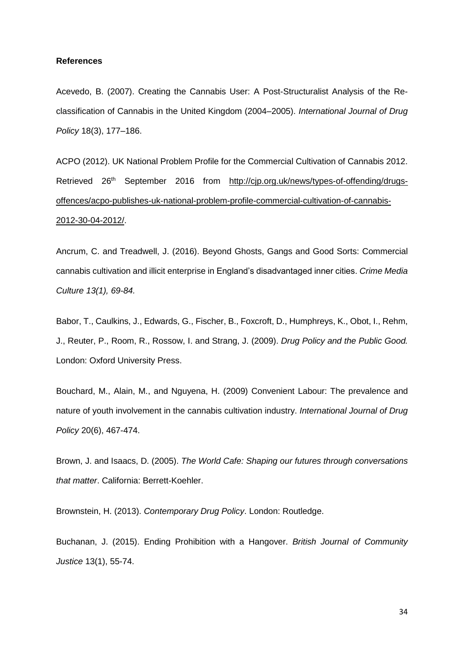#### **References**

Acevedo, B. (2007). Creating the Cannabis User: A Post-Structuralist Analysis of the Reclassification of Cannabis in the United Kingdom (2004–2005). *International Journal of Drug Policy* 18(3), 177–186.

ACPO (2012). UK National Problem Profile for the Commercial Cultivation of Cannabis 2012. Retrieved 26<sup>th</sup> September 2016 from [http://cjp.org.uk/news/types-of-offending/drugs](http://cjp.org.uk/news/types-of-offending/drugs-offences/acpo-publishes-uk-national-problem-profile-commercial-cultivation-of-cannabis-2012-30-04-2012/)[offences/acpo-publishes-uk-national-problem-profile-commercial-cultivation-of-cannabis-](http://cjp.org.uk/news/types-of-offending/drugs-offences/acpo-publishes-uk-national-problem-profile-commercial-cultivation-of-cannabis-2012-30-04-2012/)[2012-30-04-2012/.](http://cjp.org.uk/news/types-of-offending/drugs-offences/acpo-publishes-uk-national-problem-profile-commercial-cultivation-of-cannabis-2012-30-04-2012/)

Ancrum, C. and Treadwell, J. (2016). Beyond Ghosts, Gangs and Good Sorts: Commercial cannabis cultivation and illicit enterprise in England's disadvantaged inner cities. *Crime Media Culture 13(1), 69-84.*

Babor, T., Caulkins, J., Edwards, G., Fischer, B., Foxcroft, D., Humphreys, K., Obot, I., Rehm, J., Reuter, P., Room, R., Rossow, I. and Strang, J. (2009). *Drug Policy and the Public Good.* London: Oxford University Press.

Bouchard, M., Alain, M., and Nguyena, H. (2009) Convenient Labour: The prevalence and nature of youth involvement in the cannabis cultivation industry. *International Journal of Drug Policy* 20(6), 467-474.

Brown, J. and Isaacs, D. (2005). *The World Cafe: Shaping our futures through conversations that matter*. California: Berrett-Koehler.

Brownstein, H. (2013). *Contemporary Drug Policy*. London: Routledge.

Buchanan, J. (2015). Ending Prohibition with a Hangover. *British Journal of Community Justice* 13(1), 55-74.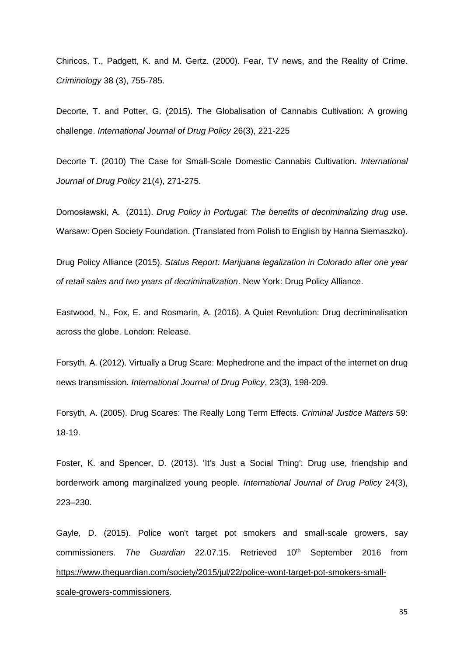Chiricos, T., Padgett, K. and M. Gertz. (2000). Fear, TV news, and the Reality of Crime. *Criminology* 38 (3), 755-785.

Decorte, T. and Potter, G. (2015). The Globalisation of Cannabis Cultivation: A growing challenge. *International Journal of Drug Policy* 26(3), 221-225

Decorte T. (2010) The Case for Small-Scale Domestic Cannabis Cultivation. *International Journal of Drug Policy* 21(4), 271-275.

Domosławski, A. (2011). *Drug Policy in Portugal: The benefits of decriminalizing drug use*. Warsaw: Open Society Foundation. (Translated from Polish to English by Hanna Siemaszko).

Drug Policy Alliance (2015). *Status Report: Marijuana legalization in Colorado after one year of retail sales and two years of decriminalization*. New York: Drug Policy Alliance.

Eastwood, N., Fox, E. and Rosmarin, A. (2016). A Quiet Revolution: Drug decriminalisation across the globe. London: Release.

Forsyth, A. (2012). Virtually a Drug Scare: Mephedrone and the impact of the internet on drug news transmission. *International Journal of Drug Policy*, 23(3), 198-209.

Forsyth, A. (2005). Drug Scares: The Really Long Term Effects. *Criminal Justice Matters* 59: 18-19.

Foster, K. and Spencer, D. (2013). 'It's Just a Social Thing': Drug use, friendship and borderwork among marginalized young people. *International Journal of Drug Policy* 24(3), 223–230.

Gayle, D. (2015). Police won't target pot smokers and small-scale growers, say commissioners. *The Guardian* 22.07.15. Retrieved 10<sup>th</sup> September 2016 from [https://www.theguardian.com/society/2015/jul/22/police-wont-target-pot-smokers-small](https://www.theguardian.com/society/2015/jul/22/police-wont-target-pot-smokers-small-scale-growers-commissioners)[scale-growers-commissioners.](https://www.theguardian.com/society/2015/jul/22/police-wont-target-pot-smokers-small-scale-growers-commissioners)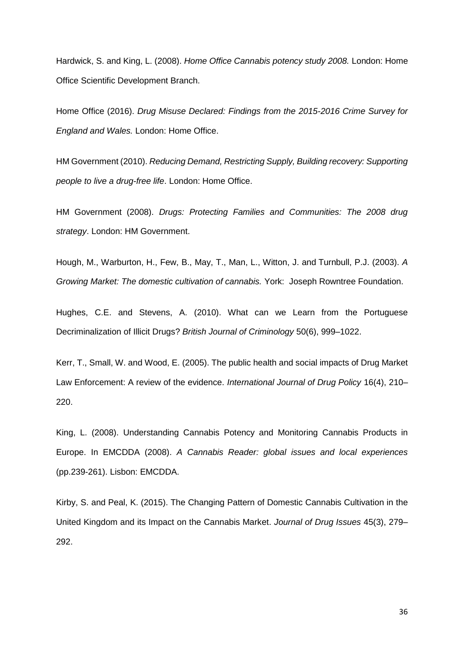Hardwick, S. and King, L. (2008). *Home Office Cannabis potency study 2008.* London: Home Office Scientific Development Branch.

Home Office (2016). *Drug Misuse Declared: Findings from the 2015-2016 Crime Survey for England and Wales.* London: Home Office.

HM Government (2010). *Reducing Demand, Restricting Supply, Building recovery: Supporting people to live a drug-free life*. London: Home Office.

HM Government (2008). *Drugs: Protecting Families and Communities: The 2008 drug strategy*. London: HM Government.

Hough, M., Warburton, H., Few, B., May, T., Man, L., Witton, J. and Turnbull, P.J. (2003). *A Growing Market: The domestic cultivation of cannabis.* York: Joseph Rowntree Foundation.

Hughes, C.E. and Stevens, A. (2010). What can we Learn from the Portuguese Decriminalization of Illicit Drugs? *British Journal of Criminology* 50(6), 999–1022.

Kerr, T., Small, W. and Wood, E. (2005). The public health and social impacts of Drug Market Law Enforcement: A review of the evidence. *International Journal of Drug Policy* 16(4), 210– 220.

King, L. (2008). Understanding Cannabis Potency and Monitoring Cannabis Products in Europe. In EMCDDA (2008). *A Cannabis Reader: global issues and local experiences* (pp.239-261). Lisbon: EMCDDA.

Kirby, S. and Peal, K. (2015). The Changing Pattern of Domestic Cannabis Cultivation in the United Kingdom and its Impact on the Cannabis Market. *Journal of Drug Issues* 45(3), 279– 292.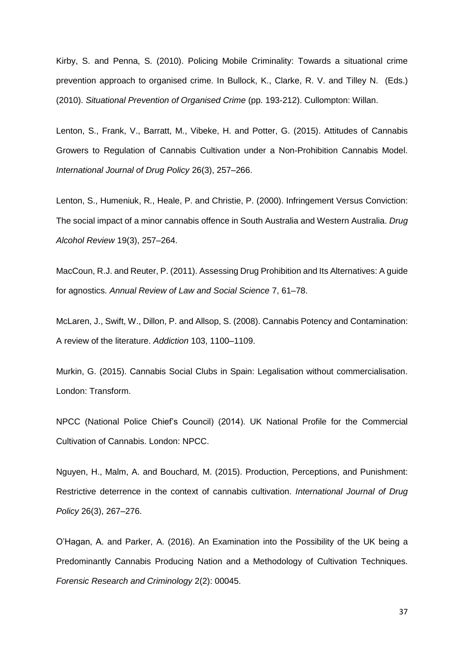Kirby, S. and Penna, S. (2010). Policing Mobile Criminality: Towards a situational crime prevention approach to organised crime. In Bullock, K., Clarke, R. V. and Tilley N. (Eds.) (2010). *Situational Prevention of Organised Crime* (pp. 193-212). Cullompton: Willan.

Lenton, S., Frank, V., Barratt, M., Vibeke, H. and Potter, G. (2015). Attitudes of Cannabis Growers to Regulation of Cannabis Cultivation under a Non-Prohibition Cannabis Model. *International Journal of Drug Policy* 26(3), 257–266.

Lenton, S., Humeniuk, R., Heale, P. and Christie, P. (2000). Infringement Versus Conviction: The social impact of a minor cannabis offence in South Australia and Western Australia. *Drug Alcohol Review* 19(3), 257–264.

MacCoun, R.J. and Reuter, P. (2011). Assessing Drug Prohibition and Its Alternatives: A guide for agnostics. *Annual Review of Law and Social Science* 7, 61–78.

McLaren, J., Swift, W., Dillon, P. and Allsop, S. (2008). Cannabis Potency and Contamination: A review of the literature. *Addiction* 103, 1100–1109.

Murkin, G. (2015). Cannabis Social Clubs in Spain: Legalisation without commercialisation. London: Transform.

NPCC (National Police Chief's Council) (2014). UK National Profile for the Commercial Cultivation of Cannabis. London: NPCC.

Nguyen, H., Malm, A. and Bouchard, M. (2015). Production, Perceptions, and Punishment: Restrictive deterrence in the context of cannabis cultivation. *International Journal of Drug Policy* 26(3), 267–276.

O'Hagan, A. and Parker, A. (2016). An Examination into the Possibility of the UK being a Predominantly Cannabis Producing Nation and a Methodology of Cultivation Techniques. *Forensic Research and Criminology* 2(2): 00045.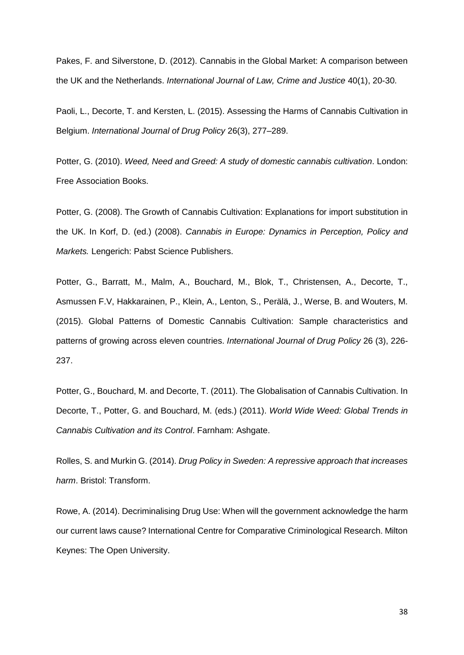Pakes, F. and Silverstone, D. (2012). Cannabis in the Global Market: A comparison between the UK and the Netherlands. *International Journal of Law, Crime and Justice* 40(1), 20-30.

Paoli, L., Decorte, T. and Kersten, L. (2015). Assessing the Harms of Cannabis Cultivation in Belgium. *International Journal of Drug Policy* 26(3), 277–289.

Potter, G. (2010). *Weed, Need and Greed: A study of domestic cannabis cultivation*. London: Free Association Books.

Potter, G. (2008). The Growth of Cannabis Cultivation: Explanations for import substitution in the UK. In Korf, D. (ed.) (2008). *Cannabis in Europe: Dynamics in Perception, Policy and Markets.* Lengerich: Pabst Science Publishers.

Potter, G., Barratt, M., Malm, A., Bouchard, M., Blok, T., Christensen, A., Decorte, T., Asmussen F.V, Hakkarainen, P., Klein, A., Lenton, S., Perälä, J., Werse, B. and Wouters, M. (2015). Global Patterns of Domestic Cannabis Cultivation: Sample characteristics and patterns of growing across eleven countries. *International Journal of Drug Policy* 26 (3), 226- 237.

Potter, G., Bouchard, M. and Decorte, T. (2011). The Globalisation of Cannabis Cultivation. In Decorte, T., Potter, G. and Bouchard, M. (eds.) (2011). *World Wide Weed: Global Trends in Cannabis Cultivation and its Control*. Farnham: Ashgate.

Rolles, S. and Murkin G. (2014). *Drug Policy in Sweden: A repressive approach that increases harm*. Bristol: Transform.

Rowe, A. (2014). Decriminalising Drug Use: When will the government acknowledge the harm our current laws cause? International Centre for Comparative Criminological Research. Milton Keynes: The Open University.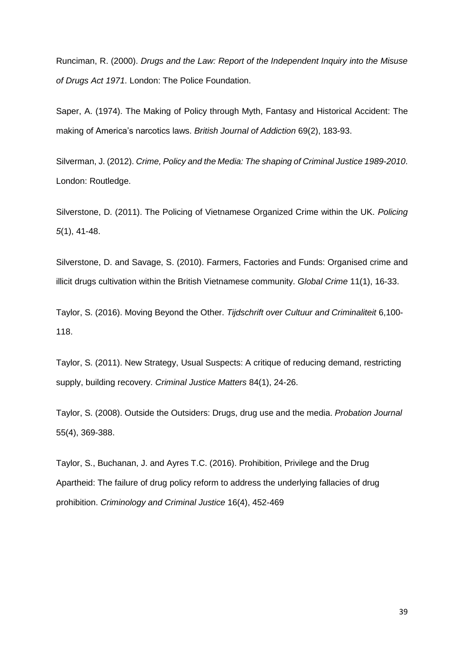Runciman, R. (2000). *Drugs and the Law: Report of the Independent Inquiry into the Misuse of Drugs Act 1971*. London: The Police Foundation.

Saper, A. (1974). The Making of Policy through Myth, Fantasy and Historical Accident: The making of America's narcotics laws. *British Journal of Addiction* 69(2), 183-93.

Silverman, J. (2012). *Crime, Policy and the Media: The shaping of Criminal Justice 1989-2010*. London: Routledge.

Silverstone, D. (2011). The Policing of Vietnamese Organized Crime within the UK. *Policing 5*(1), 41-48.

Silverstone, D. and Savage, S. (2010). Farmers, Factories and Funds: Organised crime and illicit drugs cultivation within the British Vietnamese community. *Global Crime* 11(1), 16-33.

Taylor, S. (2016). Moving Beyond the Other. *Tijdschrift over Cultuur and Criminaliteit* 6,100- 118.

Taylor, S. (2011). New Strategy, Usual Suspects: A critique of reducing demand, restricting supply, building recovery. *Criminal Justice Matters* 84(1), 24-26.

Taylor, S. (2008). Outside the Outsiders: Drugs, drug use and the media. *Probation Journal* 55(4), 369-388.

Taylor, S., Buchanan, J. and Ayres T.C. (2016). Prohibition, Privilege and the Drug Apartheid: The failure of drug policy reform to address the underlying fallacies of drug prohibition. *Criminology and Criminal Justice* 16(4), 452-469